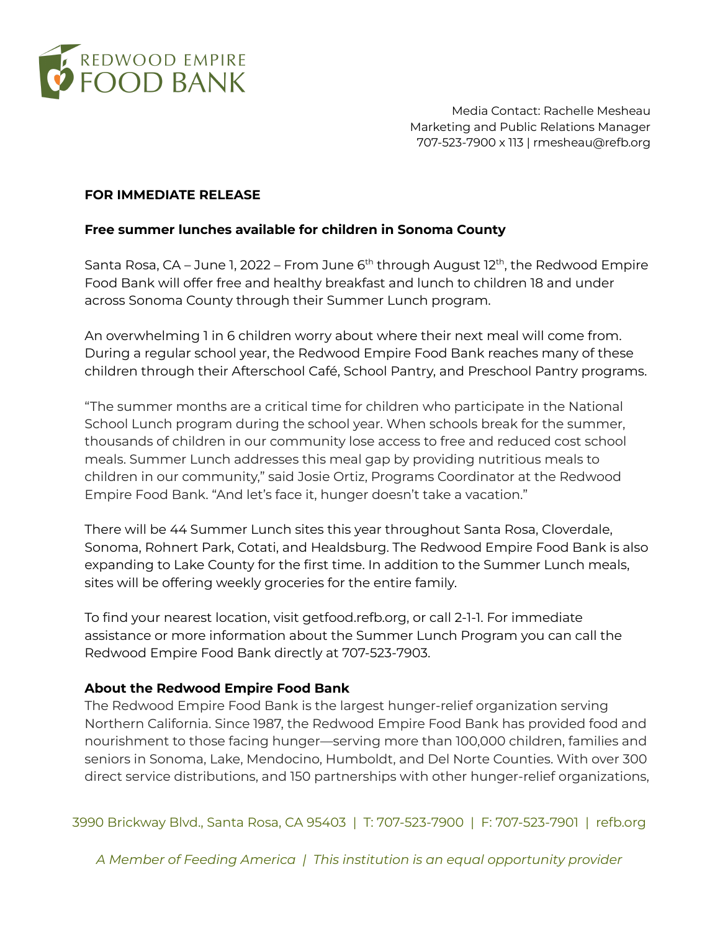

Media Contact: Rachelle Mesheau Marketing and Public Relations Manager 707-523-7900 x 113 | rmesheau@refb.org

## **FOR IMMEDIATE RELEASE**

## **Free summer lunches available for children in Sonoma County**

Santa Rosa, CA – June 1, 2022 – From June 6<sup>th</sup> through August 12<sup>th</sup>, the Redwood Empire Food Bank will offer free and healthy breakfast and lunch to children 18 and under across Sonoma County through their Summer Lunch program.

An overwhelming 1 in 6 children worry about where their next meal will come from. During a regular school year, the Redwood Empire Food Bank reaches many of these children through their Afterschool Café, School Pantry, and Preschool Pantry programs.

"The summer months are a critical time for children who participate in the National School Lunch program during the school year. When schools break for the summer, thousands of children in our community lose access to free and reduced cost school meals. Summer Lunch addresses this meal gap by providing nutritious meals to children in our community," said Josie Ortiz, Programs Coordinator at the Redwood Empire Food Bank. "And let's face it, hunger doesn't take a vacation."

There will be 44 Summer Lunch sites this year throughout Santa Rosa, Cloverdale, Sonoma, Rohnert Park, Cotati, and Healdsburg. The Redwood Empire Food Bank is also expanding to Lake County for the first time. In addition to the Summer Lunch meals, sites will be offering weekly groceries for the entire family.

To find your nearest location, visit getfood.refb.org, or call 2-1-1. For immediate assistance or more information about the Summer Lunch Program you can call the Redwood Empire Food Bank directly at 707-523-7903.

## **About the Redwood Empire Food Bank**

The Redwood Empire Food Bank is the largest hunger-relief organization serving Northern California. Since 1987, the Redwood Empire Food Bank has provided food and nourishment to those facing hunger—serving more than 100,000 children, families and seniors in Sonoma, Lake, Mendocino, Humboldt, and Del Norte Counties. With over 300 direct service distributions, and 150 partnerships with other hunger-relief organizations,

3990 Brickway Blvd., Santa Rosa, CA 95403 | T: 707-523-7900 | F: 707-523-7901 | refb.org

*A Member of Feeding America | This institution is an equal opportunity provider*